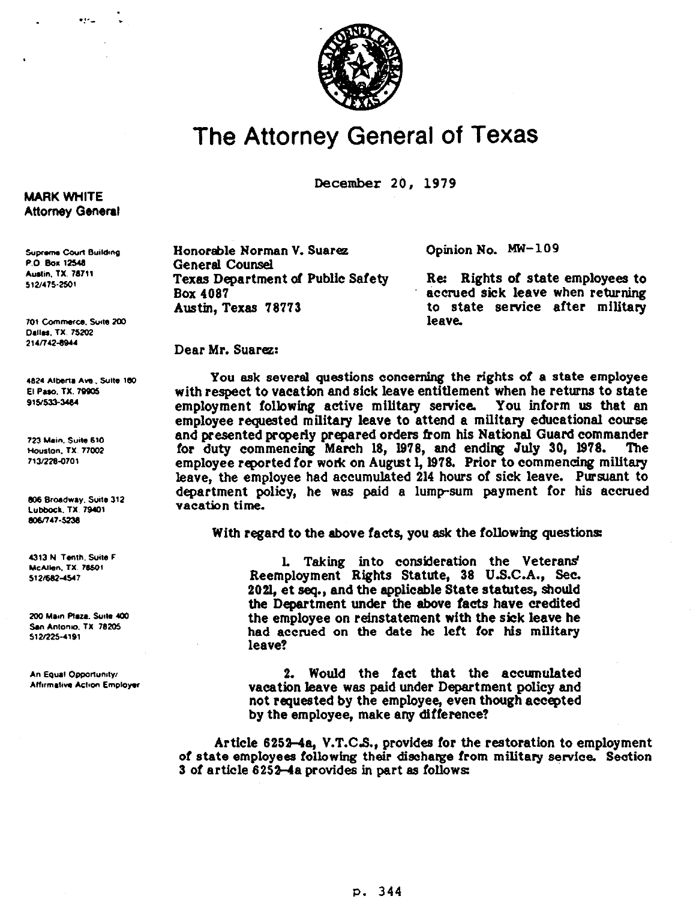

## **The Attorney General of Texas**

**December 20, 1979** 

**Honorable Norman V. Suarez General Counsel**  Opinion No. MW-109

Re: Rights of state employees to **Box 4007 accrued sick leave when returning Austin, Texas 78773 to state setvice after military leave.** 

Dear Mr. Suarez:

**You ask several questions concerning the rights of a state employee with respect to vacation and sick leave entitlement when he returns to state employment following active military service You inform us that en employee requested military leave to attend a military educational course and presented properly prepared orders &om his National Guard commander**  for duty commencing March 18, 1978, and ending July 30, 1978. employee reported for work on August 1, 1978. Prior to commencing military **leave, the employee had accumulated 214 hours of sick leave. Pursuant to**  department policy, he was paid a lump-sum payment for his accrued **vacation time.** 

**With regard to the above facts, you ask the following questions:** 

**L Taking into consideration the Veterans' Reemployment Rights Statute, 38 U.S.C.A., Sec. 2021, et seq., and the applicable State statutes, should the Department under the above facts have credited the employee on reinstatement with the sick leave he**  had accrued on the date he left for his military **leave?** 

**2. Would the fact that the accumulated vacation leave was paid under Department policy and not requested by the employee, even though accepted**  by the employee, make any difference?

**Article 6252-44 V.T.CS., provides for the restoration to employment of state employees following their discharge from military service. Section 3 of article 625He provides in part 89 follows** 

## **MARK WHITE Attorney General**

 $.1 - .1$ 

**Supreme Court Building** P.O. Box 12548 **Austin, TX. 78711** 512/475-2501

701 Commerce, Suite 200 Dallas, TX. 75202 214/742-8944

4824 Alberta Ave., Suite 160 **El Paso, TX, 79905** 915/533-3484

723 Main, Suite 610 Houston, TX. 77002 713/228-0701

806 Broadway, Suite 312 Lubbock, TX. 79401 806/747-5238

4313 N Tenth, Suite F McAllen, TX. 78501 512/682-4547

200 Main Plaza, Suite 400 San Antonio, TX 78205 512/225-4191

An Equal Opportunity/ **Affirmative Action Employer**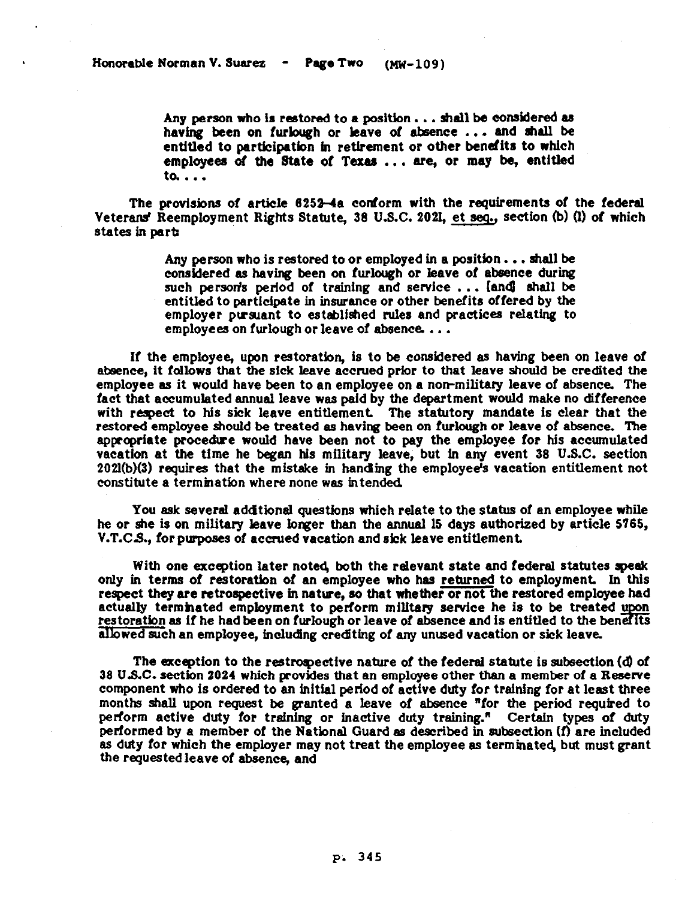Any person who is restored to a position . . . shall be considered as having been on furlough or leave of absence ... and shall be **entitled to participation in retirement or other benefits to which employees of the State of Texes . . . are, or** may **be, entitled to. . . .** 

The provisions of article 6252-4a conform with the requirements of the federal Veterans' Reemployment Rights Statute, 38 U.S.C. 2021, et seq., section (b) (l) of which **states in perk** 

> **Any person who is restored to or employed in a positbn. . . shell be consldered es having been on furlough or Ieeve of absence during**  such person's period of training and service ... [and shall be **entitled to partidpete in insurance or other benefits offered by the employer pvslent to esteblished rules end practices relating to**  employees on furlough or leave of absence...

If the employee, upon restoration, is to be considered as having been on leave of **etxience, it follows thet the sick leave accrued prior to that leave should be credited the**  employee as it would have been to an employee on a non-military leave of absence. The fact that accumulated annual leave was paid by the department would make no difference with respect to his sick leave entitlement. The statutory mandate is clear that the restored employee should be treated as having been on furlough or leave of absence. The **epppriete procedve would have been not to pay the employee for his accumulated vacation et the time he began his military leeve, but in any event 36 U.S.C. section 2021(b)(3) requires that the mistake in handing the employee's vacation entitlement not constitute e termination where none was intended** 

**You esk severel eddtlonel questions which relate to the status of en employee while he or she is on military leave longer then the ennual 15 days authorized by article 5765, V.T.CS., for plaposes of accrued vacation end sick leave entitlement** 

With one exception later noted, both the relevant state and federal statutes speak **only in terms of restoretlon of** *en* **employee who hes returned to employment In this respect they are retrospective in netwe, so that whether or not the restored employee had actually termhated employment to perform milltery service he is to be treated restoration as if he had been on furlough or leave of absence and is entitled to the benefits allowed such en employee, including crediting of any unused vacation or sick leave.** 

**The exception to the restroqective nature of the federel statute is subsection (d) of 36 U.S.C. section 2024 which povides that en employee other then e member of a Reserve component who is ordered to en initial period of active duty for training for et least three months shell upon request be granted e leave of ebsence "for the period required to perform active duty for trafning or inactive duty training." Certain types of duty performed by 8 member of the Netlonal Guard 88 described in subsection (f) are included as duty for which the employer may not treat the employee es terminated, but must grant the requested leave of absence, end**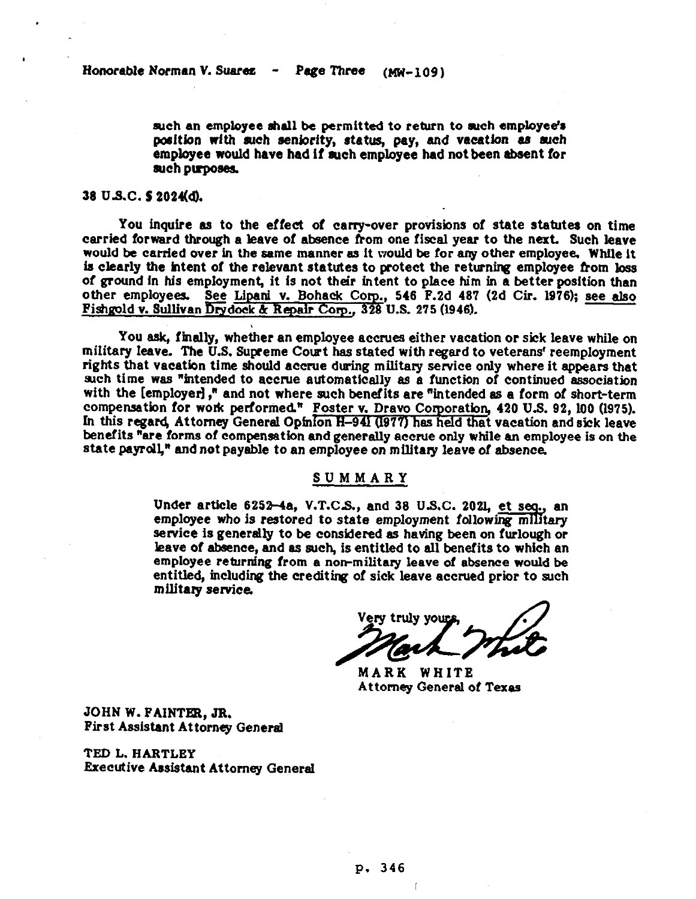**arch en employee shall he permitted to return to arch employee's**  position with such seniority, status, pay, and vacation as such employee would have had if such employee had not been absent for such purposes.

## **38 us.c. s 202ud).**

**You inquire as to the effect of carry-over provisions of state statutes on time carried forwerd through a leave of absence from one fiscal year to the next. Such leave would he carried over in the same manner ss it would he for any other employee. While it**  is clearly the intent of the relevant statutes to protect the returning employee from loss of ground in his employment, it is not their intent to place him in a better position than other employees. See Lipani v. Bohack Corp., 546 F.2d 487 (2d Cir. 1976); see also Fishgold v. Sullivan Drydock & Repair Corp., 328 U.S. 275 (1946).

**You ssk, finally, whether en employee eccrues either vacation or sick leave while on military leave. The U.S. Supreme Court has stated with regard to veterans' reemployment rights that vacation time should eccrue during military service only where it appears that**  such time was "intended to accrue automatically as a function of continued association with the [employer]," and not where such benefits are "intended as a form of short-term **compensation** *for* **wok performed" Foster v. Drevo Corporetbn, 420 U.S. 92, LOO (1975).**  In this regard, Attorney General Opinion H-94l (1977) has held that vacation and sick leave ben**efits "are forms of compensation and generally accrue only while an employee is on the state peyrdl," and not psyahle to en employee on militery leave of** *absence.* 

## **SUMMARY**

Under article 6252-4a, V.T.C.S., and 38 U.S.C. 2021, et seq., an employee who is restored to state employment following military **service is generally to he considered as having been on furlough or**  leave of absence, and as such, is entitled to all benefits to which an employee returning from a non-military leave of absence would be entitled, including the crediting of sick leave accrued prior to such **militery service.** 

MARK WHITE **Attorney General of Texas** 

**JOHN W. FAINTER, JR. First Assistant Attorney Genersl** 

**TED L. HARTLEY Executive Assistant Attorney General**